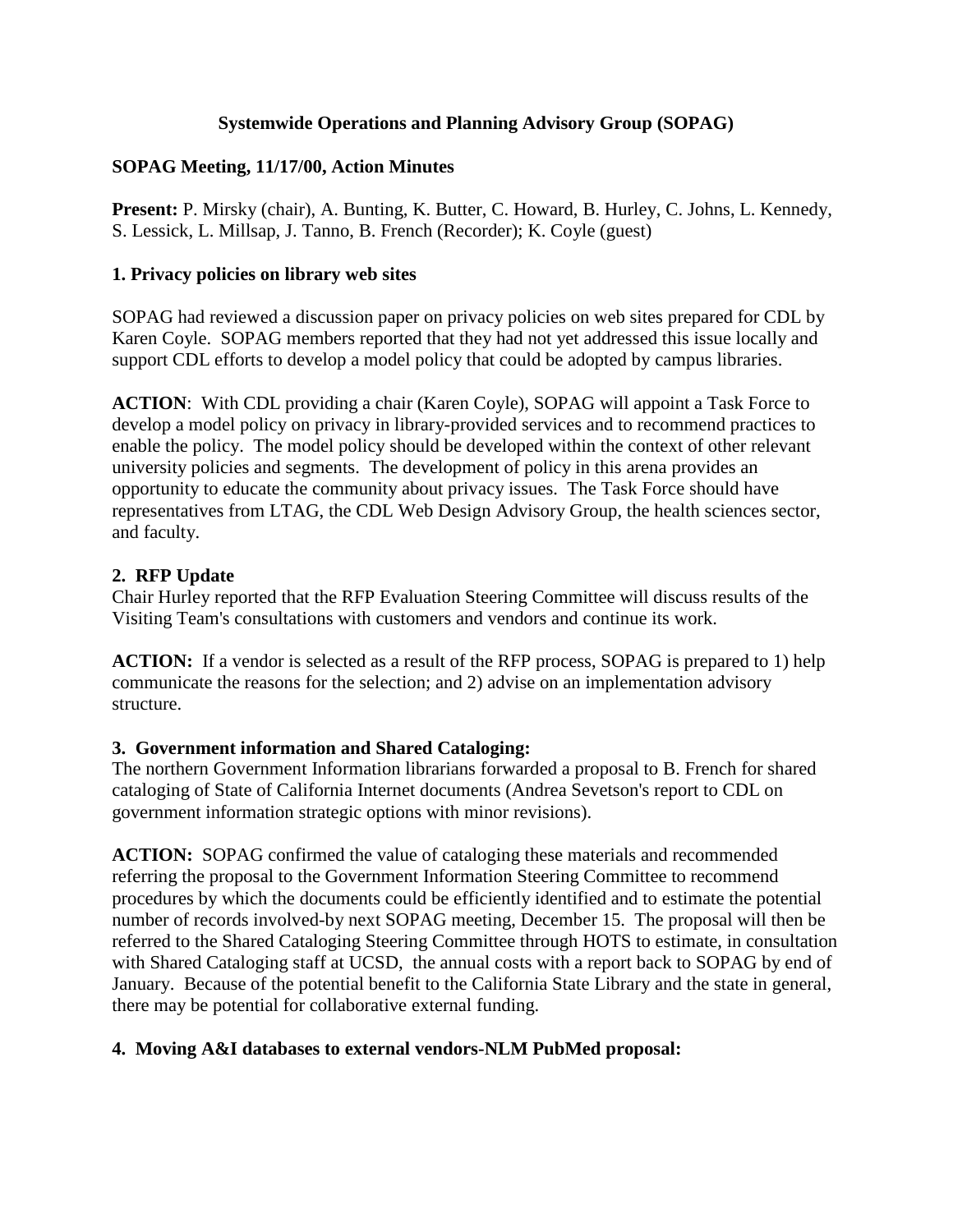#### **Systemwide Operations and Planning Advisory Group (SOPAG)**

#### **SOPAG Meeting, 11/17/00, Action Minutes**

**Present:** P. Mirsky (chair), A. Bunting, K. Butter, C. Howard, B. Hurley, C. Johns, L. Kennedy, S. Lessick, L. Millsap, J. Tanno, B. French (Recorder); K. Coyle (guest)

### **1. Privacy policies on library web sites**

SOPAG had reviewed a discussion paper on privacy policies on web sites prepared for CDL by Karen Coyle. SOPAG members reported that they had not yet addressed this issue locally and support CDL efforts to develop a model policy that could be adopted by campus libraries.

**ACTION:** With CDL providing a chair (Karen Coyle), SOPAG will appoint a Task Force to develop a model policy on privacy in library-provided services and to recommend practices to enable the policy. The model policy should be developed within the context of other relevant university policies and segments. The development of policy in this arena provides an opportunity to educate the community about privacy issues. The Task Force should have representatives from LTAG, the CDL Web Design Advisory Group, the health sciences sector, and faculty.

### **2. RFP Update**

Chair Hurley reported that the RFP Evaluation Steering Committee will discuss results of the Visiting Team's consultations with customers and vendors and continue its work.

**ACTION:** If a vendor is selected as a result of the RFP process, SOPAG is prepared to 1) help communicate the reasons for the selection; and 2) advise on an implementation advisory structure.

# **3. Government information and Shared Cataloging:**

The northern Government Information librarians forwarded a proposal to B. French for shared cataloging of State of California Internet documents (Andrea Sevetson's report to CDL on government information strategic options with minor revisions).

**ACTION:** SOPAG confirmed the value of cataloging these materials and recommended referring the proposal to the Government Information Steering Committee to recommend procedures by which the documents could be efficiently identified and to estimate the potential number of records involved-by next SOPAG meeting, December 15. The proposal will then be referred to the Shared Cataloging Steering Committee through HOTS to estimate, in consultation with Shared Cataloging staff at UCSD, the annual costs with a report back to SOPAG by end of January. Because of the potential benefit to the California State Library and the state in general, there may be potential for collaborative external funding.

# **4. Moving A&I databases to external vendors-NLM PubMed proposal:**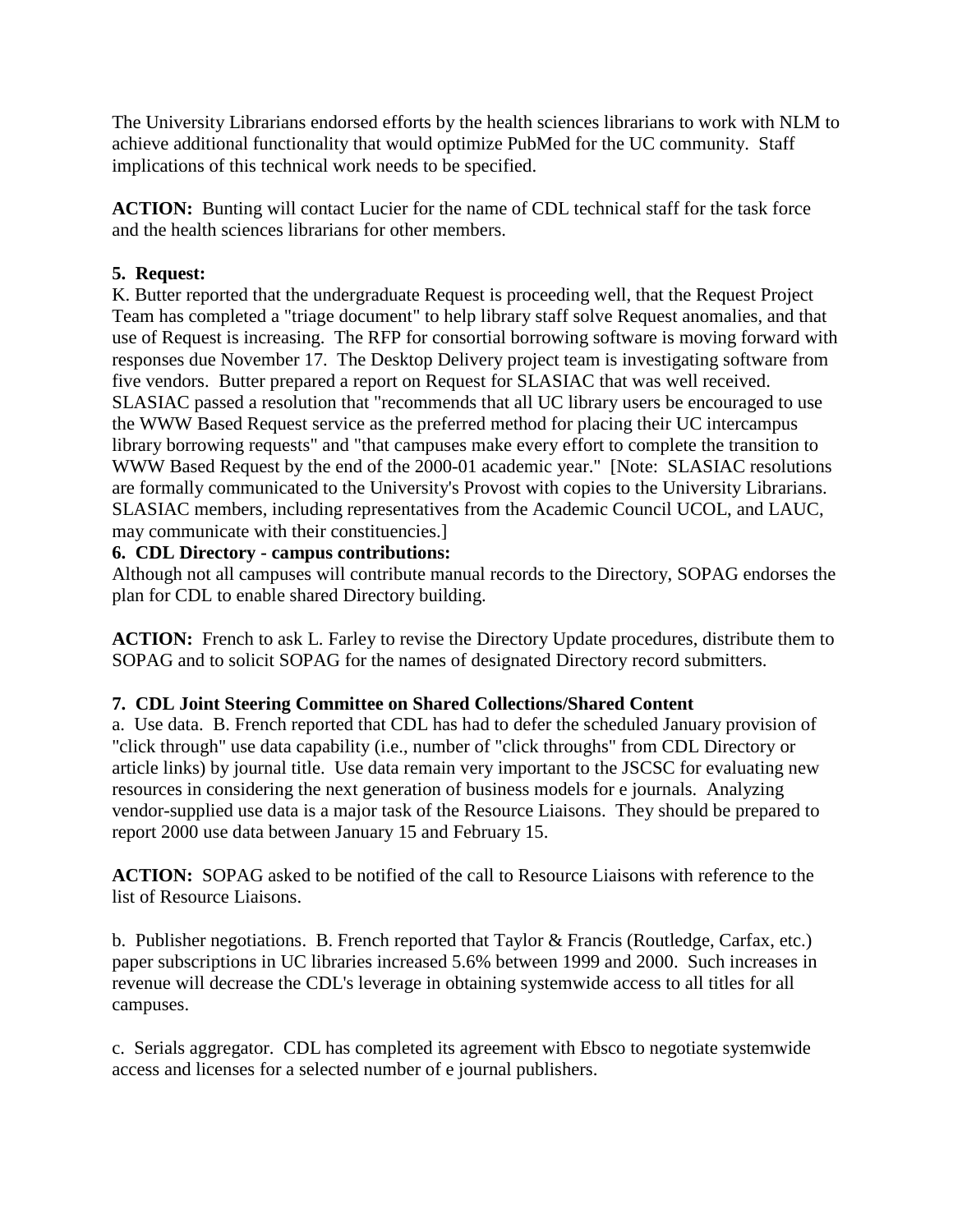The University Librarians endorsed efforts by the health sciences librarians to work with NLM to achieve additional functionality that would optimize PubMed for the UC community. Staff implications of this technical work needs to be specified.

**ACTION:** Bunting will contact Lucier for the name of CDL technical staff for the task force and the health sciences librarians for other members.

## **5. Request:**

K. Butter reported that the undergraduate Request is proceeding well, that the Request Project Team has completed a "triage document" to help library staff solve Request anomalies, and that use of Request is increasing. The RFP for consortial borrowing software is moving forward with responses due November 17. The Desktop Delivery project team is investigating software from five vendors. Butter prepared a report on Request for SLASIAC that was well received. SLASIAC passed a resolution that "recommends that all UC library users be encouraged to use the WWW Based Request service as the preferred method for placing their UC intercampus library borrowing requests" and "that campuses make every effort to complete the transition to WWW Based Request by the end of the 2000-01 academic year." [Note: SLASIAC resolutions are formally communicated to the University's Provost with copies to the University Librarians. SLASIAC members, including representatives from the Academic Council UCOL, and LAUC, may communicate with their constituencies.]

### **6. CDL Directory - campus contributions:**

Although not all campuses will contribute manual records to the Directory, SOPAG endorses the plan for CDL to enable shared Directory building.

**ACTION:** French to ask L. Farley to revise the Directory Update procedures, distribute them to SOPAG and to solicit SOPAG for the names of designated Directory record submitters.

#### **7. CDL Joint Steering Committee on Shared Collections/Shared Content**

a. Use data. B. French reported that CDL has had to defer the scheduled January provision of "click through" use data capability (i.e., number of "click throughs" from CDL Directory or article links) by journal title. Use data remain very important to the JSCSC for evaluating new resources in considering the next generation of business models for e journals. Analyzing vendor-supplied use data is a major task of the Resource Liaisons. They should be prepared to report 2000 use data between January 15 and February 15.

**ACTION:** SOPAG asked to be notified of the call to Resource Liaisons with reference to the list of Resource Liaisons.

b. Publisher negotiations. B. French reported that Taylor & Francis (Routledge, Carfax, etc.) paper subscriptions in UC libraries increased 5.6% between 1999 and 2000. Such increases in revenue will decrease the CDL's leverage in obtaining systemwide access to all titles for all campuses.

c. Serials aggregator. CDL has completed its agreement with Ebsco to negotiate systemwide access and licenses for a selected number of e journal publishers.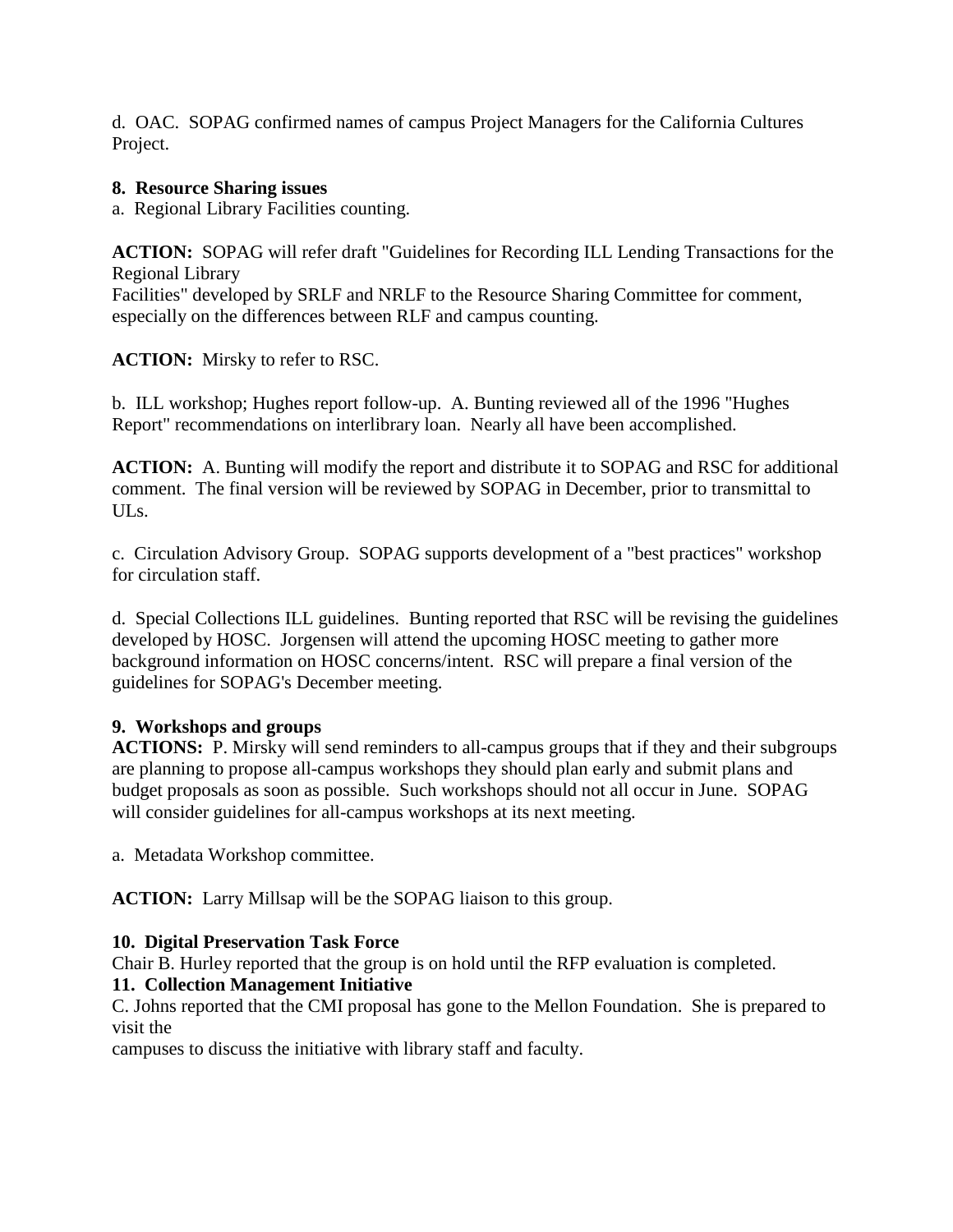d. OAC. SOPAG confirmed names of campus Project Managers for the California Cultures Project.

### **8. Resource Sharing issues**

a. Regional Library Facilities counting.

**ACTION:** SOPAG will refer draft "Guidelines for Recording ILL Lending Transactions for the Regional Library

Facilities" developed by SRLF and NRLF to the Resource Sharing Committee for comment, especially on the differences between RLF and campus counting.

**ACTION:** Mirsky to refer to RSC.

b. ILL workshop; Hughes report follow-up. A. Bunting reviewed all of the 1996 "Hughes Report" recommendations on interlibrary loan. Nearly all have been accomplished.

**ACTION:** A. Bunting will modify the report and distribute it to SOPAG and RSC for additional comment. The final version will be reviewed by SOPAG in December, prior to transmittal to ULs.

c. Circulation Advisory Group. SOPAG supports development of a "best practices" workshop for circulation staff.

d. Special Collections ILL guidelines. Bunting reported that RSC will be revising the guidelines developed by HOSC. Jorgensen will attend the upcoming HOSC meeting to gather more background information on HOSC concerns/intent. RSC will prepare a final version of the guidelines for SOPAG's December meeting.

# **9. Workshops and groups**

**ACTIONS:** P. Mirsky will send reminders to all-campus groups that if they and their subgroups are planning to propose all-campus workshops they should plan early and submit plans and budget proposals as soon as possible. Such workshops should not all occur in June. SOPAG will consider guidelines for all-campus workshops at its next meeting.

a. Metadata Workshop committee.

**ACTION:** Larry Millsap will be the SOPAG liaison to this group.

# **10. Digital Preservation Task Force**

Chair B. Hurley reported that the group is on hold until the RFP evaluation is completed.

# **11. Collection Management Initiative**

C. Johns reported that the CMI proposal has gone to the Mellon Foundation. She is prepared to visit the

campuses to discuss the initiative with library staff and faculty.